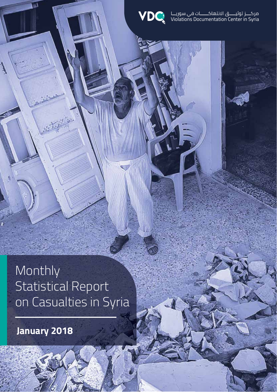

مركــــز توثيـــــق الانتهاكـــــــات في سوريـــا<br>Violations Documentation Center in Syria

Monthly Statistical Report on Casualties in Syria

**January 2018**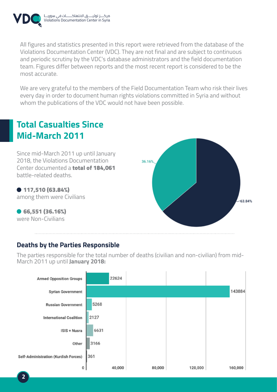

مركــــــز توثيـــــــق الانتهاكـــــــــات فـي سوريــــا<br>Violations Documentation Center in Syria

All figures and statistics presented in this report were retrieved from the database of the Violations Documentation Center (VDC). They are not final and are subject to continuous and periodic scrutiny by the VDC's database administrators and the field documentation team. Figures differ between reports and the most recent report is considered to be the most accurate.

We are very grateful to the members of the Field Documentation Team who risk their lives every day in order to document human rights violations committed in Syria and without whom the publications of the VDC would not have been possible.

### **Total Casualties Since Mid-March 2011**

Since mid-March 2011 up until January 2018, the Violations Documentation Center documented a total of 184,061 battle-related deaths.

 117,510 (63.84%) among them were Civilians

 66,551 (36.16%) were Non-Civilians



### **Deaths by the Parties Responsible**

The parties responsible for the total number of deaths (civilian and non-civilian) from mid-March 2011 up until **January 2018:**

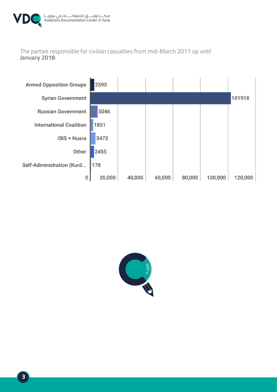

The parties responsible for civilian casualties from mid-March 2011 up until **January 2018**:



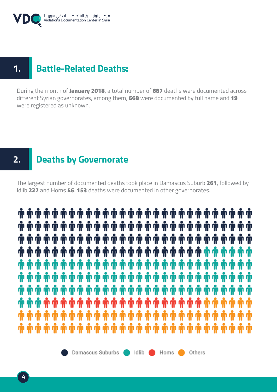

### **1. Battle-Related Deaths:**

During the month of January 2018, a total number of 687 deaths were documented across different Syrian governorates, among them, 668 were documented by full name and 19 were registered as unknown.

### **2. Deaths by Governorate**

The largest number of documented deaths took place in Damascus Suburb 261, followed by Idlib 227 and Homs 46. 153 deaths were documented in other governorates.

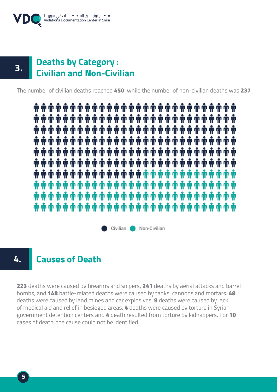



#### **Deaths by Category : Civilian and Non-Civilian 3.**

The number of civilian deaths reached 450 while the number of non-civilian deaths was 237

Civilian Non-Civilian

#### **Causes of Death 4.**

223 deaths were caused by firearms and snipers, 241 deaths by aerial attacks and barrel bombs, and 148 battle-related deaths were caused by tanks, cannons and mortars. 48 deaths were caused by land mines and car explosives. 9 deaths were caused by lack of medical aid and relief in besieged areas. 4 deaths were caused by torture in Syrian government detention centers and 4 death resulted from torture by kidnappers. For 10 cases of death, the cause could not be identified.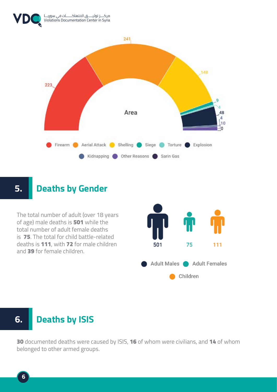



### **5. Deaths by Gender**

The total number of adult (over 18 years of age) male deaths is 501 while the total number of adult female deaths is 75. The total for child battle-related deaths is 111, with 72 for male children and 39 for female children.



## **6. Deaths by ISIS**

30 documented deaths were caused by ISIS, 16 of whom were civilians, and 14 of whom belonged to other armed groups.